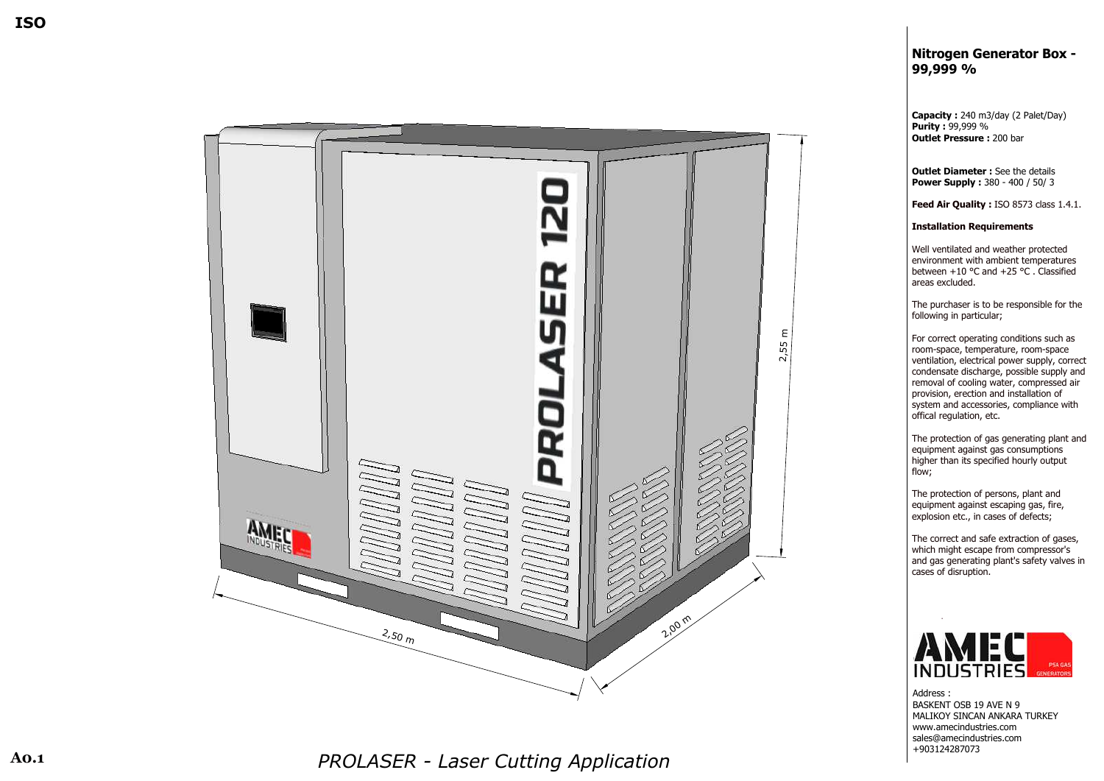## **N i** Nitrogen Generator Box -**9 9 , 9 9 9 %**

**capacity :** 240 m3/day (2 Palet/Day) **i Purity** : 99,999 % **l Outlet Pressure :** 200 bar

**l Outlet Diameter** : See the details **e l Power Supply :** 380 - 400 / 50/ 3

**eed Air Quality :** ISO 8573 class 1.4.1.

**I l** Installation Requirements

l Well ventilated and weather protecte Well ventilated and weather protected<br>environment with ambient temperatures ender the state of the state of the state of the state of the state of the state of the state of the state of the state of the state of the state of the state of the state of the state of the state of the state of the stat e areas excluded.

I The purchaser is to be responsible for the and the solution of the solution of the solution of the solution of the solution of the solution of the solution of the solution of the solution of the solution of the solution of the solution of the solution of the soluti

of the contract of the contract of the contract of the contract of the contract of the contract of the contract of the contract of the contract of the contract of the contract of the contract of the contract of the contrac | For correct operating conditions such as <u>ranski komunisti i pove</u>dalje i predstava i postava i postava i postava i postava i postava i postava i postava o | room-space, temperature, room-space | room-space | room-space | room-space en de la contrata de la Ve ventilation, electrical power supply, correct contract the contract of the contract of the contract of the contract of the contract of the contract of the c condensate discharge, possible supply and <u>ranski komunisti i pove</u>dalje i predstava i postava i postava i postava i postava i postava i postava i postava en de la contrata de la presión de la presión de la presión de la presión de la presión de la presión de la pr and the cooling water, compressed air | provision, erection and installation of s and the state of the state of the state of the state of the state of the state of the state of the state of the state of the state of the state of the state of the state of the state of the state of the state of the stat | system and accessories, compliance with offical regulation, etc.

The protection of gas generating plant and | equipment against gas consumptions I higher than its specified hourly output ta di sensita di Indonesia di Indonesia di Indonesia di Indonesia di Indonesia di Indonesia di Indonesia di In

The protection of persons, plant and | equipment against escaping gas, fire, explosion etc., in cases of defects;

The correct and safe extraction of gases, in the complete stream compressor's which might escape from compressor's and gas generating plant's safety valves in contract the contract of the contract of the contract of the contract of the contract of the contract of the c a di sebagai kacamatan ing Kabupatèn Kabupatèn Ka ass of disruption.



de de la de la desemblace de la desemblace de la desemblace de la desemblace de la desemblace de la desemblace l BASKENT OSB 19 AVE N 9 I MALIKOY SINCAN ANKARA TURKEY where the contract of the contract of the contract of the contract of the contract of the contract of the contract of the contract of the contract of the contract of the contract of the contract of the contract of the cont amecindustries.com | www.amecindustries.com s and the state of the state of the state of the state of the state of the state of the state of the state of the and a structure of the structure of the Sa sales@amecindustries.com +903124287073

*P RRESPONDENT CONTINUES PROLASER - Laser Cutting Application* 

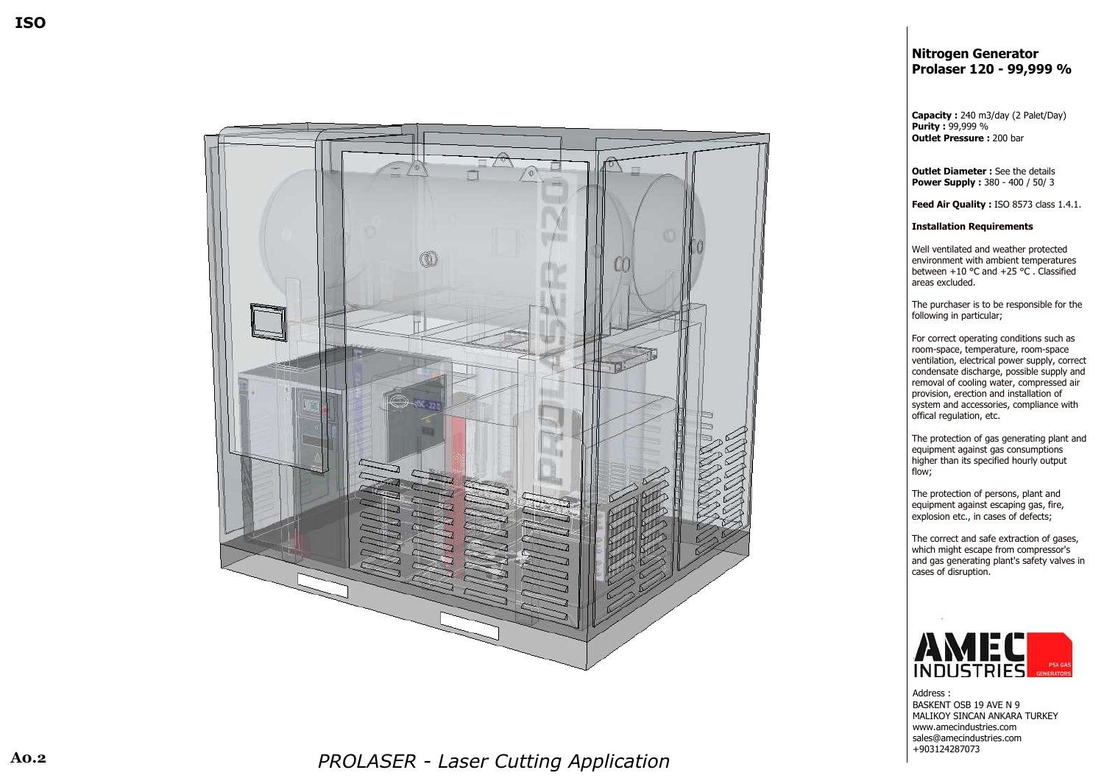*P RRESPONDENT CONTINUES PROLASER - Laser Cutting Application* 

## **N i Nitrogen Generator P r**  $\blacksquare$  **Prolaser 120 - 99,999 %**

**capacity :** 240 m3/day (2 Palet/Day) **i Purity** : 99,999 % **l Outlet Pressure :** 200 bar

**l Outlet Diameter** : See the details **P e l Power Supply** : 380 - 400 / 50/ 3

> **F**F **F F F eed Air Quality :** ISO 8573 class 1.4.1.

**I l** Installation Requirements

l Well ventilated and weather protecte Well ventilated and weather protected<br>environment with ambient temperatures <u>base of the state of the state of the state of the state of the state of the state of the state of the state of the state of the state of the state of the state of the state of the state of the state of the state of the s</u> between  $+10$  °C and  $+25$  °C . Classified<br>areas excluded. e areas excluded.

**The Community of the Community of The Community** I The purchaser is to be responsible for the for the contract of the contract of the contract of the contract of the contract of the contract of the contract of l following in particular;

For the state of the state of the state of the state of the state of the state of the state of the state of the of the contract of the contract of the contract of the contract of the contract of the contract of the contract of the contract of the contract of the contract of the contract of the contract of the contract of the contrac | For correct operating conditions such as <u>ranski komunisti i pove</u>dalje i predstava i postava i postava i postava i postava i postava i postava i postava of the contract of the contract of the contract of the contract of the contract of the contract of the contract of the contract of the contract of the contract of the contract of the contract of the contract of the contrac | room-space, temperature, room-space version and the state of the state of the state of the state of the state of the state of the state of the state of the state of the state of the state of the state of the state of the state of the state of the state of th en de la contrata de la Ve ventilation, electrical power supply, correct contract the contract of the contract of the contract of the contract of the contract of the contract of the c of the contract of the contract of the contract of the contract of the contract of the contract of the contract of the contract of the contract of the contract of the contract of the contract of the contract of the contrac condensate discharge, possible supply and <u>ranski komunisti i pove</u>dalje i predstava i postava i postava i postava i postava i postava i postava i postava en de la contrata de la presión de la presión de la presión de la presión de la presión de la presión de la pr are moval of cooling water, compressed air personal property of the property of the property of the property of the property of the property of the proper | provision, erection and installation of s and the state of the state of the state of the state of the state of the state of the state of the state of the state of the state of the state of the state of the state of the state of the state of the state of the stat system and accessories, compliance with o a contra a contra a contra a contra a contra a contra a contra a contra a contra a contra a contra a contra offical regulation, etc.

**The Community of the Community of The Community** The protection of gas generating plant and e de la contrada de la contrada de la contrada de la contrada de la contrada de la contrada de la contrada de additions are also consumptions and the equipment against gas consumptions hair anns an t-Indian anns an t-Indian anns an t-Indian anns an t-Indian anns an t-Indian anns an t-Indian ann I higher than its specified hourly output ta di sensita di Indonesia di Indonesia di Indonesia di Indonesia di Indonesia di Indonesia di Indonesia di In denotes the contract of the state of the state of the state of the state of the state of the state of the state of the state of the state of the state of the state of the state of the state of the state of the state of the

**The Community of the Community of The Community** The protection of persons, plant and e de la contrada de la contrada de la contrada de la contrada de la contrada de la contrada de la contrada de equipment against escaping gas, fire, e de la contrada de la contrada de la contrada de la contrada de la contrada de la contrada de la contrada de explosion etc., in cases of defects;

**The Community of the Community of The Community** The correct and safe extraction of gases, which might escape from compressor's a di sebagai kacamatan ing Kabupatèn Kabupatèn Kabupatèn Kabupatèn Kabupatèn Kabupatèn Kabupatèn Ka and gas generating plant's safety valves in contract the contract of the contract of the contract of the contract of the contract of the contract of the c a di sebagai kacamatan ing Kabupatèn Kabupatèn Ka ass of disruption.



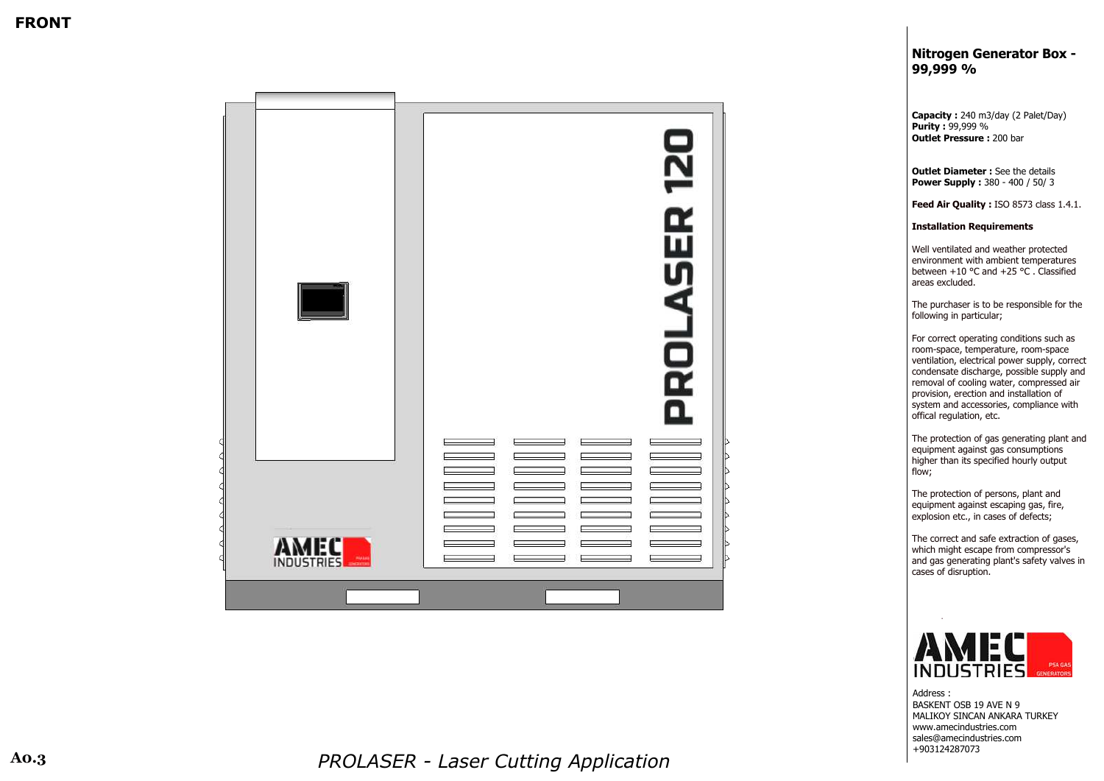# **N i** Nitrogen Generator Box -

**C capacity :** 240 m3/day (2 Palet/Day) **P i Purity** : 99,999 % **O l Outlet Pressure :** 200 bar

**O l Outlet Diameter** : See the details **P bower Supply :** 380 - 400 / 50/ 3

> **F**F **F F F eed Air Quality :** ISO 8573 class 1.4.1.

**I l** Installation Requirements

l Well ventilated and weather protecte Well ventilated and weather protected<br>environment with ambient temperatures na ang pangalang na kalawang kalendaryon ng Pangalang Kabupatèn Kabupatèn Kabupatèn Kabupatèn Kabupatèn Kabupa <u>base of the state of the state of the state of the state of the state of the state of the state of the state of the state of the state of the state of the state of the state of the state of the state of the state of the s</u> between  $+10$  °C and  $+25$  °C . Classified<br>areas excluded. e areas excluded.

**The Community of the Community of The Community** I The purchaser is to be responsible for the for the contract of the contract of the contract of the contract of the contract of the contract of the contract of l following in particular;

For the state of the state of the state of the state of the state of the state of the state of the state of the of the contract of the contract of the contract of the contract of the contract of the contract of the contract of the contract of the contract of the contract of the contract of the contract of the contract of the contrac | For correct operating conditions such as <u>ranski komunisti i pove</u>dalje i predstava i postava i postava i postava i postava i postava i postava i postava of the contract of the contract of the contract of the contract of the contract of the contract of the contract of the contract of the contract of the contract of the contract of the contract of the contract of the contrac | room-space, temperature, room-space version and the state of the state of the state of the state of the state of the state of the state of the state of the state of the state of the state of the state of the state of the state of the state of the state of th en de la contrata de la Ve ventilation, electrical power supply, correct contract the contract of the contract of the contract of the contract of the contract of the contract of the c of the contract of the contract of the contract of the contract of the contract of the contract of the contract of the contract of the contract of the contract of the contract of the contract of the contract of the contrac condensate discharge, possible supply and <u>ranski komunisti i pove</u>dalje i predstava i postava i postava i postava i postava i postava i postava i postava en de la contrata de la presión de la presión de la presión de la presión de la presión de la presión de la pr are moval of cooling water, compressed air personal property of the property of the property of the property of the property of the property of the proper | provision, erection and installation of s and the state of the state of the state of the state of the state of the state of the state of the state of the state of the state of the state of the state of the state of the state of the state of the state of the stat system and accessories, compliance with o a contra a contra a contra a contra a contra a contra a contra a contra a contra a contra a contra a contra offical regulation, etc.

**The Community of the Community of The Community** The protection of gas generating plant and e de la contrada de la contrada de la contrada de la contrada de la contrada de la contrada de la contrada de additions are also consumptions and the equipment against gas consumptions hair anns an t-Indian anns an t-Indian anns an t-Indian anns an t-Indian anns an t-Indian anns an t-Indian ann I higher than its specified hourly output ta di sensita di Indonesia di Indonesia di Indonesia di Indonesia di Indonesia di Indonesia di Indonesia di In denotes the contract of the state of the state of the state of the state of the state of the state of the state of the state of the state of the state of the state of the state of the state of the state of the state of the

**The Community of the Community of The Community** The protection of persons, plant and e de la contrada de la contrada de la contrada de la contrada de la contrada de la contrada de la contrada de equipment against escaping gas, fire, e de la contrada de la contrada de la contrada de la contrada de la contrada de la contrada de la contrada de explosion etc., in cases of defects;

**The Community of the Community of The Community** The correct and safe extraction of gases, where the contract of the contract of the contract of the contract of the contract of the contract of the contract of the contract of the contract of the contract of the contract of the contract of the contract of the cont which might escape from compressor's a di sebagai kacamatan ing Kabupatèn Kabupatèn Kabupatèn Kabupatèn Kabupatèn Kabupatèn Kabupatèn Ka and gas generating plant's safety valves in contract the contract of the contract of the contract of the contract of the contract of the contract of the c a di sebagai kacamatan ing Kabupatèn Kabupatèn Ka ass of disruption.





*P RRESPONDENT CONTINUES PROLASER - Laser Cutting Application*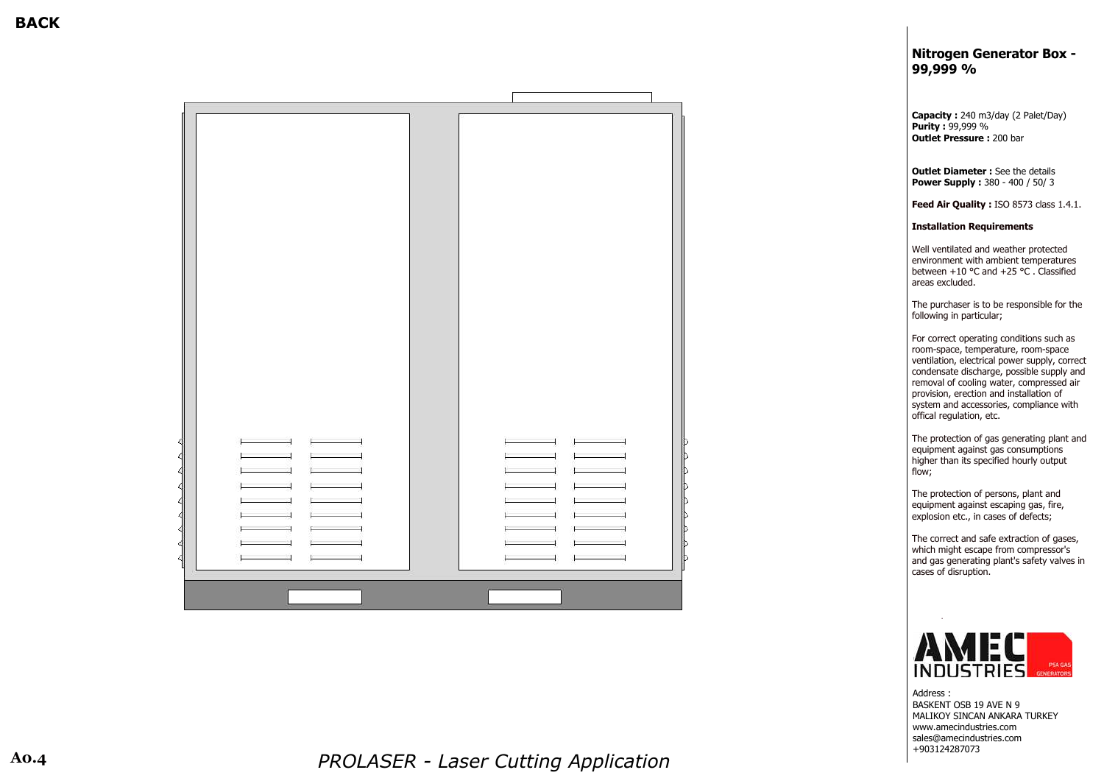**O l Outlet Diameter** : See the details **P bower Supply :** 380 - 400 / 50/ 3

> **F**F **F F F eed Air Quality :** ISO 8573 class 1.4.1.

## **N i** Nitrogen Generator Box -**9**

**C capacity :** 240 m3/day (2 Palet/Day) **P i Purity** : 99,999 % **O l Outlet Pressure :** 200 bar



**I l** Installation Requirements

W<sub>1</sub> and the contract of the contract of the contract of the contract of the contract of the contract of the contract of the contract of the contract of the contract of the contract of the contract of the contract of the c l Well ventilated and weather protecte Well ventilated and weather protected<br>environment with ambient temperatures na ang pangalang na pangalang kanang kanang kanang kanang kanang kanang kanang kanang kanang kanang kanang kan <u>base of the state of the state of the state of the state of the state of the state of the state of the state of the state of the state of the state of the state of the state of the state of the state of the state of the s</u> between  $+10$  °C and  $+25$  °C . Classified<br>areas excluded. e areas excluded.

> **The Community of the Community of The Community** I The purchaser is to be responsible for the for the contract of the contract of the contract of the contract of the contract of the contract of the contract of late following in particular;

For the state of the state of the state of the state of the state of the state of the state of the state of the of the contract of the contract of the contract of the contract of the contract of the contract of the contract of the contract of the contract of the contract of the contract of the contract of the contract of the contrac | For correct operating conditions such as <u>ranski komunisti i pove</u>dalje i predstava i postava i postava i postava i postava i postava i postava i postava of the contract of the contract of the contract of the contract of the contract of the contract of the contract of the contract of the contract of the contract of the contract of the contract of the contract of the contrac | room-space, temperature, room-space version and the state of the state of the state of the state of the state of the state of the state of the state of the state of the state of the state of the state of the state of the state of the state of the state of th en de la contrata de la Ve ventilation, electrical power supply, correct contract the contract of the contract of the contract of the contract of the contract of the contract of the c of the contract of the contract of the contract of the contract of the contract of the contract of the contract of the contract of the contract of the contract of the contract of the contract of the contract of the contrac condensate discharge, possible supply and <u>ranski komunisti i pove</u>dalje i predstava i postava i postava i postava i postava i postava i postava i postava en de la contrata de la presión de la presión de la presión de la presión de la presión de la presión de la pr are moval of cooling water, compressed air personal property of the property of the property of the property of the property of the property of the proper | provision, erection and installation of s and the state of the state of the state of the state of the state of the state of the state of the state of the state of the state of the state of the state of the state of the state of the state of the state of the stat system and accessories, compliance with o a contra a contra a contra a contra a contra a contra a contra a contra a contra a contra a contra a contra offical regulation, etc.

**The Community of the Community of The Community** The protection of gas generating plant and e de la contrada de la contrada de la contrada de la contrada de la contrada de la contrada de la contrada de additions are also consumptions and the equipment against gas consumptions hair anns an t-Indian anns an t-Indian anns an t-Indian anns an t-Indian anns an t-Indian anns an t-Indian ann I higher than its specified hourly output ta di sensita di Indonesia di Indonesia di Indonesia di Indonesia di Indonesia di Indonesia di Indonesia di In denotes the contract of the state of the state of the state of the state of the state of the state of the state of the state of the state of the state of the state of the state of the state of the state of the state of the

**The Community of the Community of The Community** The protection of persons, plant and e de la contrada de la contrada de la contrada de la contrada de la contrada de la contrada de la contrada de equipment against escaping gas, fire, e de la contrada de la contrada de la contrada de la contrada de la contrada de la contrada de la contrada de explosion etc., in cases of defects;

**The Community of the Community of The Community** The correct and safe extraction of gases, where the contract of the contract of the contract of the contract of the contract of the contract of the contract of the contract of the contract of the contract of the contract of the contract of the contract of the cont which might escape from compressor's a di sebagai kacamatan ing Kabupatèn Kabupatèn Kabupatèn Kabupatèn Kabupatèn Kabupatèn Kabupatèn Ka and gas generating plant's safety valves in contract the contract of the contract of the contract of the contract of the contract of the contract of the c a di sebagai kacamatan ing Kabupatèn Kabupatèn Ka ass of disruption.



*P RRESPONDENT CONTINUES PROLASER - Laser Cutting Application* 

**B BACK**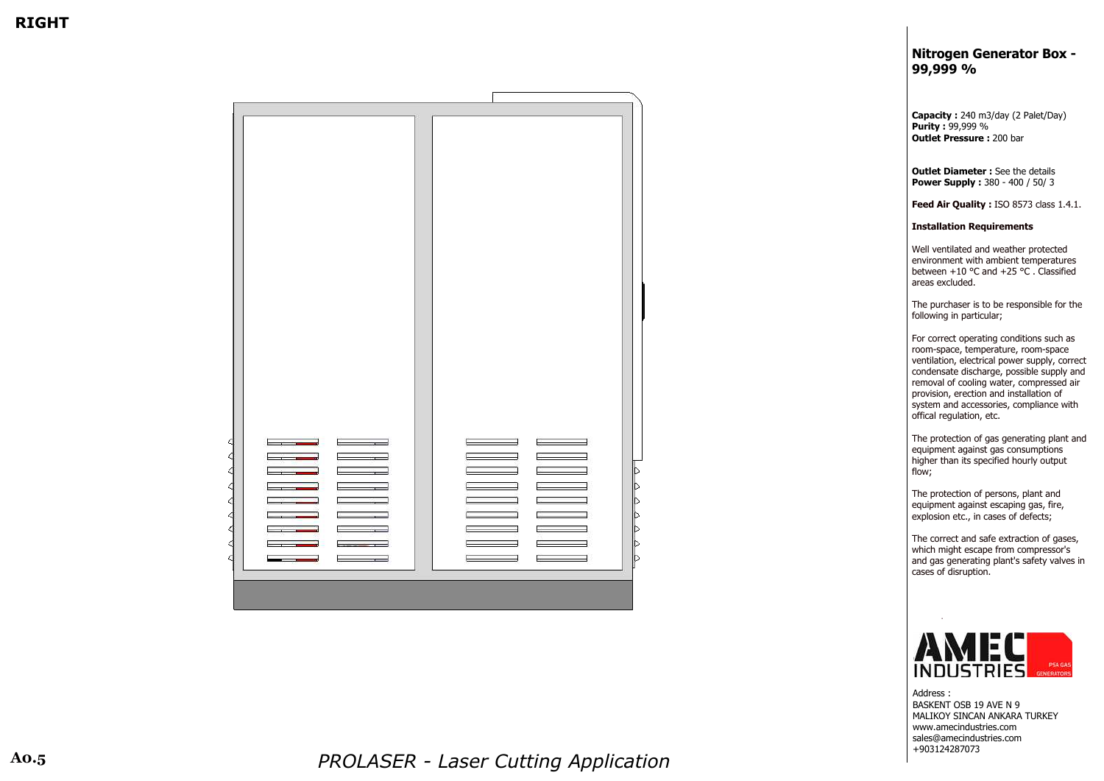**O l Outlet Diameter** : See the details **P bower Supply :** 380 - 400 / 50/ 3

> **F**F **F F F eed Air Quality :** ISO 8573 class 1.4.1.

## **N i** Nitrogen Generator Box -**9 9 , 9 9 9 %**

**C capacity :** 240 m3/day (2 Palet/Day) **P i Purity** : 99,999 % **O l Outlet Pressure :** 200 bar

**I l** Installation Requirements

W<sub>1</sub> and the contract of the contract of the contract of the contract of the contract of the contract of the contract of the contract of the contract of the contract of the contract of the contract of the contract of the c l Well ventilated and weather protecte Well ventilated and weather protected<br>environment with ambient temperatures na ang pangalang na pangalang kanang kanang kanang kanang kanang kanang kanang kanang kanang kanang kanang kan <u>base of the state of the state of the state of the state of the state of the state of the state of the state of the state of the state of the state of the state of the state of the state of the state of the state of the s</u> between  $+10$  °C and  $+25$  °C . Classified<br>areas excluded. e areas excluded.

> **The Community of the Community of The Community** I The purchaser is to be responsible for the for the contract of the contract of the contract of the contract of the contract of the contract of the contract of late following in particular;

For the state of the state of the state of the state of the state of the state of the state of the state of the of the contract of the contract of the contract of the contract of the contract of the contract of the contract of the contract of the contract of the contract of the contract of the contract of the contract of the contrac | For correct operating conditions such as <u>ranski komunisti i pove</u>dalje i predstava i postava i postava i postava i postava i postava i postava i postava of the contract of the contract of the contract of the contract of the contract of the contract of the contract of the contract of the contract of the contract of the contract of the contract of the contract of the contrac | room-space, temperature, room-space version and the state of the state of the state of the state of the state of the state of the state of the state of the state of the state of the state of the state of the state of the state of the state of the state of th en de la contrata de la Ve ventilation, electrical power supply, correct contract the contract of the contract of the contract of the contract of the contract of the contract of the c of the contract of the contract of the contract of the contract of the contract of the contract of the contract of the contract of the contract of the contract of the contract of the contract of the contract of the contrac condensate discharge, possible supply and <u>ranski komunisti i pove</u>dalje i predstava i postava i postava i postava i postava i postava i postava i postava en de la contrata de la presión de la presión de la presión de la presión de la presión de la presión de la pr are moval of cooling water, compressed air personal property of the property of the property of the property of the property of the property of the proper | provision, erection and installation of s and the state of the state of the state of the state of the state of the state of the state of the state of the state of the state of the state of the state of the state of the state of the state of the state of the stat system and accessories, compliance with o a contra a contra a contra a contra a contra a contra a contra a contra a contra a contra a contra a contra offical regulation, etc.

**The Community of the Community of The Community** The protection of gas generating plant and e de la contrada de la contrada de la contrada de la contrada de la contrada de la contrada de la contrada de additions are also consumptions and the equipment against gas consumptions hair anns an t-Indian anns an t-Indian anns an t-Indian anns an t-Indian anns an t-Indian anns an t-Indian ann I higher than its specified hourly output ta di sensita di Indonesia di Indonesia di Indonesia di Indonesia di Indonesia di Indonesia di Indonesia di In denotes the contract of the state of the state of the state of the state of the state of the state of the state of the state of the state of the state of the state of the state of the state of the state of the state of the

**The Community of the Community of The Community** The protection of persons, plant and e de la contrada de la contrada de la contrada de la contrada de la contrada de la contrada de la contrada de equipment against escaping gas, fire, e de la contrada de la contrada de la contrada de la contrada de la contrada de la contrada de la contrada de explosion etc., in cases of defects;

**The Community of the Community of The Community** The correct and safe extraction of gases, where the contract of the contract of the contract of the contract of the contract of the contract of the contract of the contract of the contract of the contract of the contract of the contract of the contract of the cont which might escape from compressor's a di sebagai kacamatan ing Kabupatèn Kabupatèn Kabupatèn Kabupatèn Kabupatèn Kabupatèn Kabupatèn Ka and gas generating plant's safety valves in contract the contract of the contract of the contract of the contract of the contract of the contract of the c and a structure of the structure of the structure of the structure of the structure of the structure of the st ass of disruption.



*P RRESPONDENT CONTINUES PROLASER - Laser Cutting Application* 

**R I** RIGHT